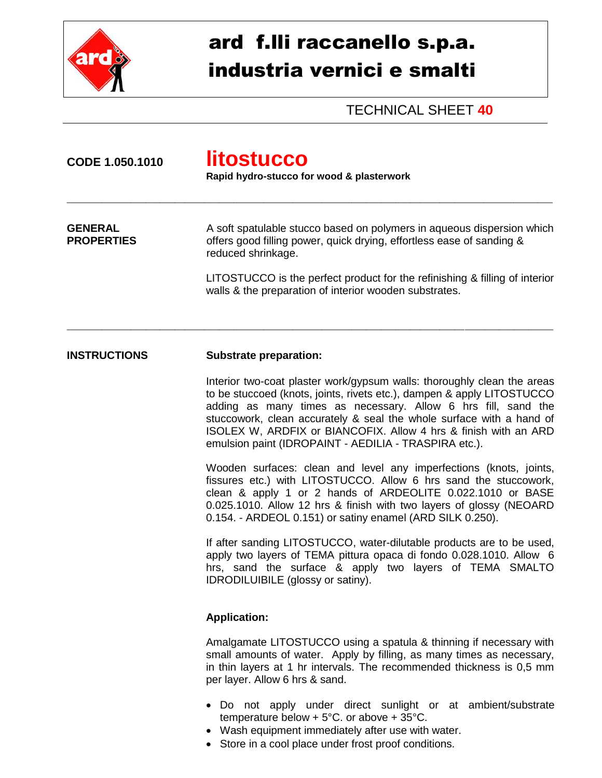

## ard f.lli raccanello s.p.a. industria vernici e smalti

TECHNICAL SHEET **40**

| CODE 1.050.1010                     | <b>litostucco</b><br>Rapid hydro-stucco for wood & plasterwork                                                                                                                                                                                                                                                                                                                                                         |  |  |
|-------------------------------------|------------------------------------------------------------------------------------------------------------------------------------------------------------------------------------------------------------------------------------------------------------------------------------------------------------------------------------------------------------------------------------------------------------------------|--|--|
| <b>GENERAL</b><br><b>PROPERTIES</b> | A soft spatulable stucco based on polymers in aqueous dispersion which<br>offers good filling power, quick drying, effortless ease of sanding &<br>reduced shrinkage.                                                                                                                                                                                                                                                  |  |  |
|                                     | LITOSTUCCO is the perfect product for the refinishing & filling of interior<br>walls & the preparation of interior wooden substrates.                                                                                                                                                                                                                                                                                  |  |  |
| <b>INSTRUCTIONS</b>                 | <b>Substrate preparation:</b>                                                                                                                                                                                                                                                                                                                                                                                          |  |  |
|                                     | Interior two-coat plaster work/gypsum walls: thoroughly clean the areas<br>to be stuccoed (knots, joints, rivets etc.), dampen & apply LITOSTUCCO<br>adding as many times as necessary. Allow 6 hrs fill, sand the<br>stuccowork, clean accurately & seal the whole surface with a hand of<br>ISOLEX W, ARDFIX or BIANCOFIX. Allow 4 hrs & finish with an ARD<br>emulsion paint (IDROPAINT - AEDILIA - TRASPIRA etc.). |  |  |
|                                     | Wooden surfaces: clean and level any imperfections (knots, joints,<br>fissures etc.) with LITOSTUCCO. Allow 6 hrs sand the stuccowork,<br>clean & apply 1 or 2 hands of ARDEOLITE 0.022.1010 or BASE<br>0.025.1010. Allow 12 hrs & finish with two layers of glossy (NEOARD<br>0.154. - ARDEOL 0.151) or satiny enamel (ARD SILK 0.250).                                                                               |  |  |
|                                     | If after sanding LITOSTUCCO, water-dilutable products are to be used,<br>apply two layers of TEMA pittura opaca di fondo 0.028.1010. Allow 6<br>hrs, sand the surface & apply two layers of TEMA SMALTO<br>IDRODILUIBILE (glossy or satiny).                                                                                                                                                                           |  |  |
|                                     | <b>Application:</b>                                                                                                                                                                                                                                                                                                                                                                                                    |  |  |
|                                     | Amalgamate LITOSTUCCO using a spatula & thinning if necessary with<br>small amounts of water. Apply by filling, as many times as necessary,<br>in thin layers at 1 hr intervals. The recommended thickness is 0,5 mm<br>per layer. Allow 6 hrs & sand.                                                                                                                                                                 |  |  |
|                                     | Do not apply under direct sunlight or at ambient/substrate<br>temperature below + $5^{\circ}$ C. or above + $35^{\circ}$ C.<br>• Wash equipment immediately after use with water.                                                                                                                                                                                                                                      |  |  |

Store in a cool place under frost proof conditions.